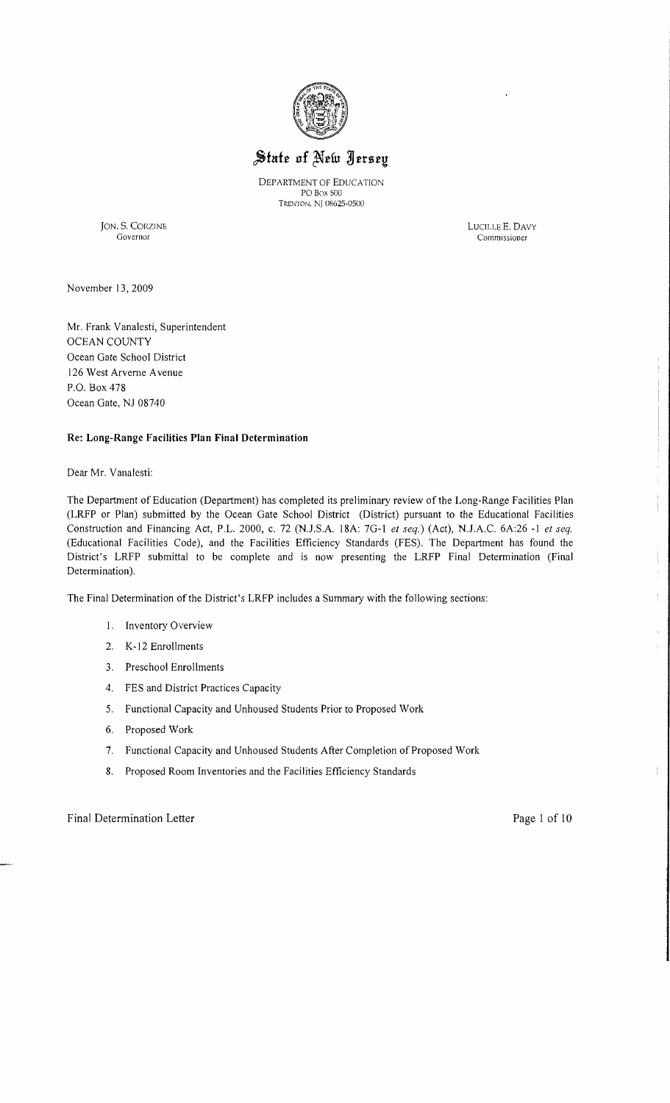

# State of New Jersey

DEPARTMENT OF EDUCATION PO Box 500 TRENTON, N] 08625-0500

JON. S. CORZINE LUCILLE E. DAVY Governor Commissioner

Commissioner

November 13,2009

Mr. Frank Vanalesti, Superintendent OCEAN COUNTY Ocean Gate School District 126 West Arveme Avenue P.O. Box 478 Ocean Gate, NJ 08740

## Re: Long-Range Facilities Plan Final Determination

## Dear Mr. Vanalesti:

The Department of Education (Department) has completed its preliminary review of the Long-Range Facilities Plan (LRFP or Plan) submitted by the Ocean Gate School District (District) pursuant to the Educational Facilities Construction and Financing Act, P.L. 2000, c. 72 (N.J.S.A. 18A: 7G-I *et seq.)* (Act), N.J.A.C. 6A:26 -I *et seq.*  (Educational Facilities Code), and the Facilities Efficiency Standards (FES). The Department has found the District's LRFP submittal to be complete and is now presenting the LRFP Final Determination (Final Determination).

The Final Determination of the District's LRFP includes a Summary with the following sections:

- I. Inventory Overview
- 2. K-12 Enrollments
- 3. Preschool Enrollments
- 4. FES and District Practices Capacity
- 5. Functional Capacity and Unhoused Students Prior to Proposed Work
- 6. Proposed Work
- 7. Functional Capacity and Unhoused Students After Completion of Proposed Work
- 8. Proposed Room Inventories and the Facilities Efficiency Standards

 $\mathbf{I}$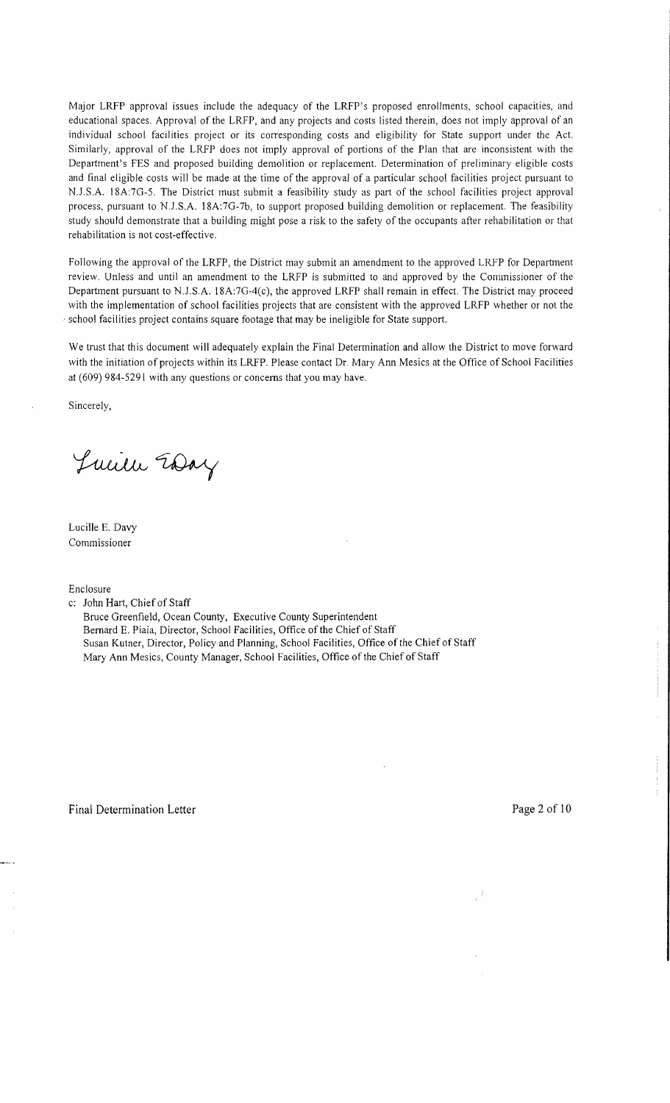Major LRFP approval issues include the adequacy of the LRFP's proposed enrollments, school capacities, and educational spaces. Approval of the LRFP, and any projects and costs listed therein, does not imply approval of an individual school facilities project or its corresponding costs and eligibility for State support under the Act. Similarly, approval of the LRFP does not imply approval of portions of the Plan that are inconsistent with the Department's FES and proposed building demolition or replacement. Determination of preliminary eligible costs and final eligible costs will be made at the time of the approval of a particular school facilities project pursuant to NJ.S.A. 18A:7G-5. The District must submit a feasibility study as part of the school facilities project approval process, pursuant to NJ.S.A. l8A:7G-7b, to support proposed building demolition or replacement. The feasibility study should demonstrate that a building might pose a risk to the safety of the occupants after rehabilitation or that rehabilitation is not cost-effective.

Following the approval of the LRFP, the District may submit an amendment to the approved LRFP for Department review. Unless and until an amendment to the LRFP is submitted to and approved by the Commissioner of the Department pursuant to NJ.S.A. l8A:7G-4(c), the approved LRFP shall remain in effect. The District may proceed with the implementation of school facilities projects that are consistent with the approved LRFP whether or not the , school facilities project contains square footage that may be ineligible for State support.

We trust that this document will adequately explain the Final Determination and allow the District to move forward with the initiation of projects within its LRFP. Please contact Dr. Mary Ann Mesics at the Office of School Facilities at (609) 984-5291 with any questions or concerns that you may have.

Sincerely,

Lucille EDay

Lucille E. Davy Commissioner

Enclosure

c: *lohn* Hart, Chief of Staff

Bruce Greenfield, Ocean County, Executive County Superintendent Bernard E. Piaia, Director, School Facilities, Office of the Chief of Staff Susan Kutner, Director, Policy and Planning, School Facilities, Office of the Chief of Staff Mary Ann Mesics, County Manager, School Facilities, Office of the Chief of Staff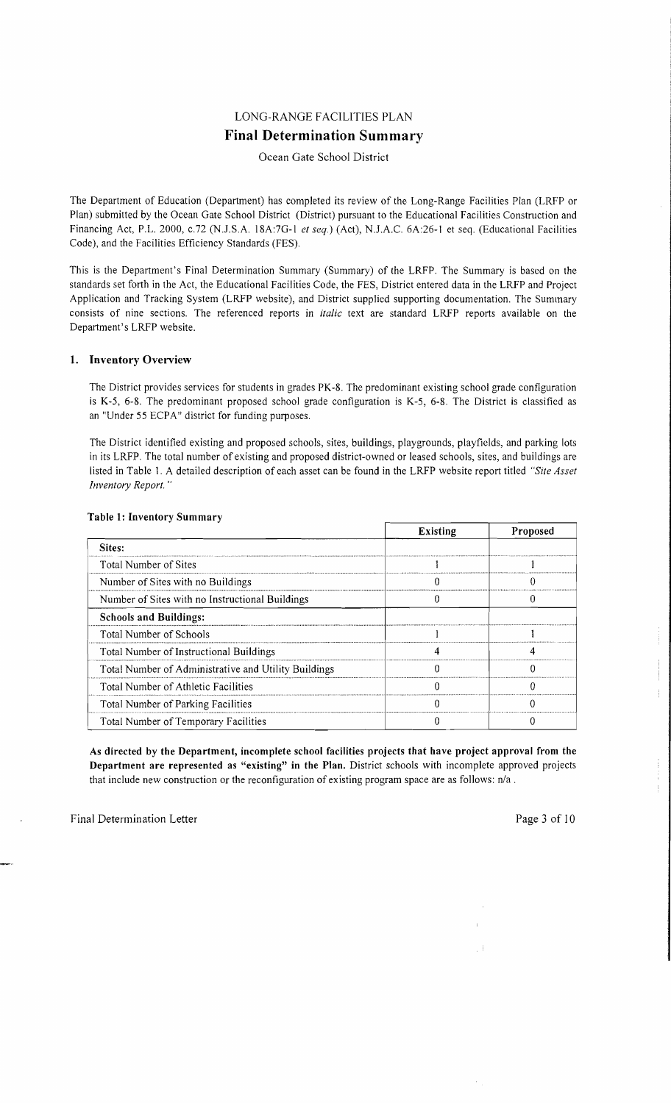# LONG-RANGE FACILITIES PLAN **Final Determination Summary**

## Ocean Gate School District

The Department of Education (Department) has completed its review of the Long-Range Facilities Plan (LRFP or Plan) submitted by the Ocean Gate School District (District) pursuant to the Educational Facilities Construction and Financing Act, P.L. 2000, c.72 (N.J.S.A. 18A:7G-1 *et seq.*) (Act), N.J.A.C. 6A:26-1 et seq. (Educational Facilities Code), and the Facilities Efficiency Standards (FES).

This is the Department's Final Determination Summary (Summary) of the LRFP. The Summary is based on the standards set forth in the Act, the Educational Facilities Code, the FES, District entered data in the LRFP and Project Application and Tracking System (LRFP website), and District supplied supporting documentation. The Summary consists of nine sections. The referenced reports in *italic* text are standard LRFP reports available on the Department's LRFP website.

### 1. Inventory Overview

The District provides services for students in grades PK-8. The predominant existing school grade configuration is K-5, 6-8. The predominant proposed school grade configuration is K-5, 6-8. The District is classified as an "Under 55 ECPA" district for funding purposes.

The District identified existing and proposed schools, sites, buildings, playgrounds, playfields, and parking lots in its LRFP. The total number of existing and proposed district-owned or leased schools, sites, and buildings are listed in Table 1. A detailed description of each asset can be found in the LRFP website report titled *"Site Asset Inventory Report. "* 

|                                                      | <b>Existing</b> | Proposed |
|------------------------------------------------------|-----------------|----------|
| Sites:                                               |                 |          |
| Total Number of Sites                                |                 |          |
| Number of Sites with no Buildings                    |                 |          |
| Number of Sites with no Instructional Buildings      |                 |          |
| <b>Schools and Buildings:</b>                        |                 |          |
| Total Number of Schools                              |                 |          |
| Total Number of Instructional Buildings              |                 |          |
| Total Number of Administrative and Utility Buildings |                 |          |
| Total Number of Athletic Facilities                  |                 |          |
| Total Number of Parking Facilities                   |                 |          |
| Total Number of Temporary Facilities                 |                 |          |

#### Table 1: Inventory Summary

As directed by the Department, incomplete school facilities projects that have project approval from the Department are represented as "existing" in the Plan. District schools with incomplete approved projects that include new construction or the reconfiguration of existing program space are as follows:  $n/a$ .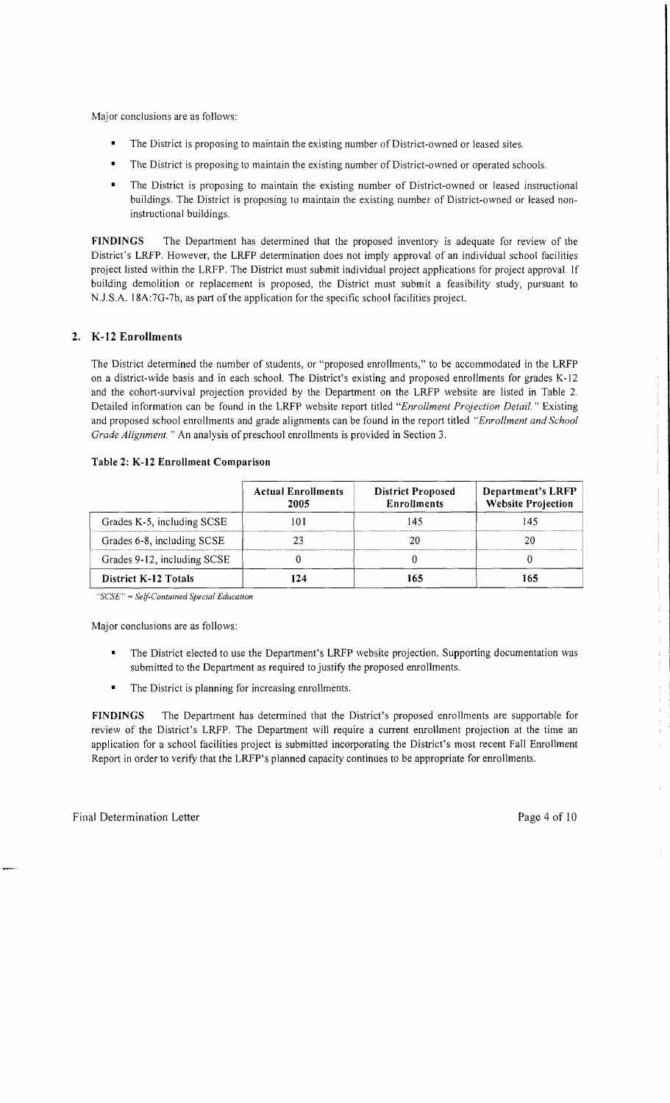Major conclusions are as follows:

- The District is proposing to maintain the existing number of District-owned or leased sites.
- The District is proposing to maintain the existing number of District-owned or operated schools.
- The District is proposing to maintain the existing number of District-owned or leased instructional buildings. The District is proposing to maintain the existing number of District-owned or leased noninstructional buildings.

FINDINGS The Department has determined that the proposed inventory is adequate for review of the District's LRFP. However, the LRFP determination does not imply approval of an individual school facilities project listed within the LRFP. The District must submit individual project applications for project approval. If building demolition or replacement is proposed, the District must submit a feasibility study, pursuant to N.J.S.A. 18A:7G-7b, as part of the application for the specific school facilities project.

# 2. K-12 Enrollments

The District determined the number of students, or "proposed enrollments," to be accommodated in the LRFP on a district-wide basis and in each school. The District's existing and proposed enrollments for grades K-12 and the cohort-survival projection provided by the Department on the LRFP website are listed in Table 2. Detailed information can be found in the LRFP website report titled *"Enrollment Projection Detail.* " Existing and proposed school enrollments and grade alignments can be found in the report titled *"Enrollment and School Grade Alignment.* " An analysis of preschool enrollments is provided in Section 3.

|                             | <b>Actual Enrollments</b><br>2005 | <b>District Proposed</b><br><b>Enrollments</b> | <b>Department's LRFP</b><br><b>Website Projection</b> |
|-----------------------------|-----------------------------------|------------------------------------------------|-------------------------------------------------------|
| Grades K-5, including SCSE  |                                   |                                                | 145                                                   |
| Grades 6-8, including SCSE  |                                   |                                                |                                                       |
| Grades 9-12, including SCSE |                                   |                                                |                                                       |
| <b>District K-12 Totals</b> | 24                                |                                                | 165                                                   |

#### Table 2: K-12 Enrollment Comparison

*"SCSE"* = *Self-Contained Special Education* 

Major conclusions are as follows:

- The District elected to use the Department's LRFP website projection. Supporting documentation was submitted to the Department as required to justify the proposed enrollments.
- The District is planning for increasing enrollments.

FINDINGS The Department has determined that the District's proposed enrollments are supportable for review of the District's LRFP. The Department will require a current enrollment projection at the time an application for a school facilities project is submitted incorporating the District's most recent Fall Enrollment Report in order to verify that the LRFP's planned capacity continues to be appropriate for enrollments.

 $\pm$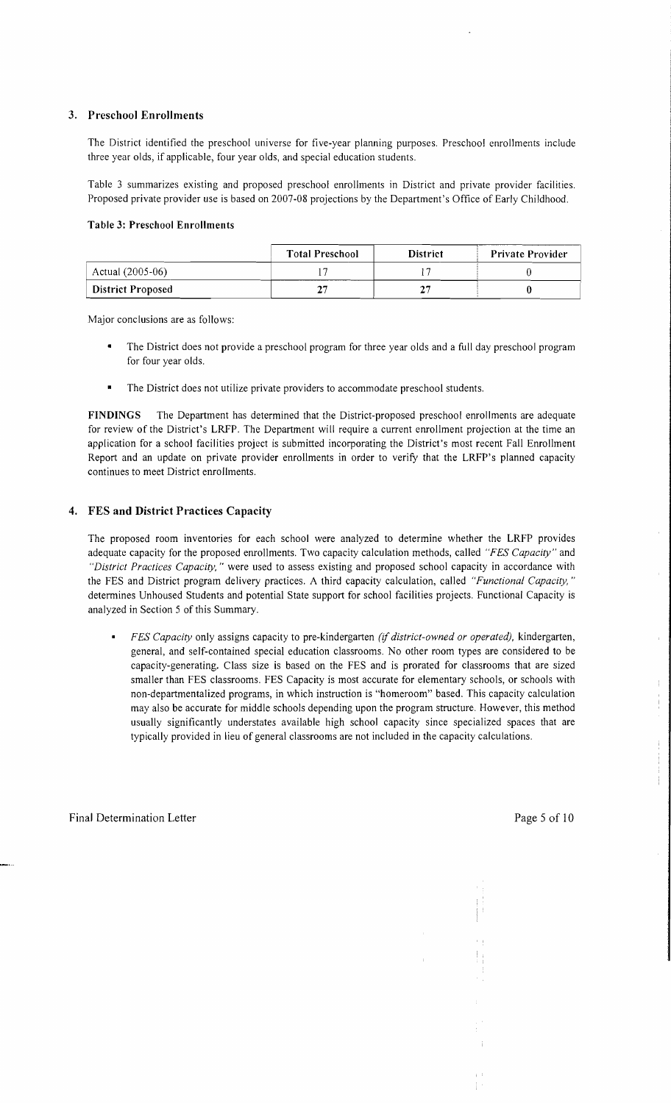### 3. Preschool Enrollments

The District identified the preschool universe for five-year planning purposes. Preschool enrollments include three year olds, if applicable, four year olds, and special education students.

Table 3 summarizes existing and proposed preschool enrollments in District and private provider facilities. Proposed private provider use is based on 2007-08 projections by the Department's Office of Early Childhood.

### Table 3: Preschool Enrollments

|                   | <b>Total Preschool</b> | <b>District</b> | <b>Private Provider</b> |
|-------------------|------------------------|-----------------|-------------------------|
| Actual (2005-06)  |                        |                 |                         |
| District Proposed | າາ                     |                 |                         |

Major conclusions are as follows:

- The District does not provide a preschool program for three year olds and a full day preschool program for four year olds.
- The District does not utilize private providers to accommodate preschool students.

FINDINGS The Department has determined that the District-proposed preschool enrollments are adequate for review of the District's LRFP. The Department will require a current enrollment projection at the time an application for a school facilities project is submitted incorporating the District's most recent Fall Enrollment Report and an update on private provider enrollments in order to verify that the LRFP's planned capacity continues to meet District enrollments.

# 4. FES and District Practices Capacity

The proposed room inventories for each school were analyzed to determine whether the LRFP provides adequate capacity for the proposed enrollments. Two capacity calculation methods, called *"FES Capacity"* and *"District Practices Capacity,* " were used to assess existing and proposed school capacity in accordance with the FES and District program delivery practices. A third capacity calculation, called *"Functional Capacity, "*  determines Unhoused Students and potential State support for school facilities projects. Functional Capacity is analyzed in Section 5 of this Summary.

*FES Capacity* only assigns capacity to pre-kindergarten *(if district-owned or operated),* kindergarten, general, and self-contained special education classrooms. No other room types are considered to be capacity-generating. Class size is based on the FES and is prorated for classrooms that are sized smaller than FES classrooms. FES Capacity is most accurate for elementary schools, or schools with non-departmentalized programs, in which instruction is "homeroom" based. This capacity calculation may also be accurate for middle schools depending upon the program structure. However, this method usually significantly understates available high school capacity since specialized spaces that are typically provided in lieu of general classrooms are not included in the capacity calculations.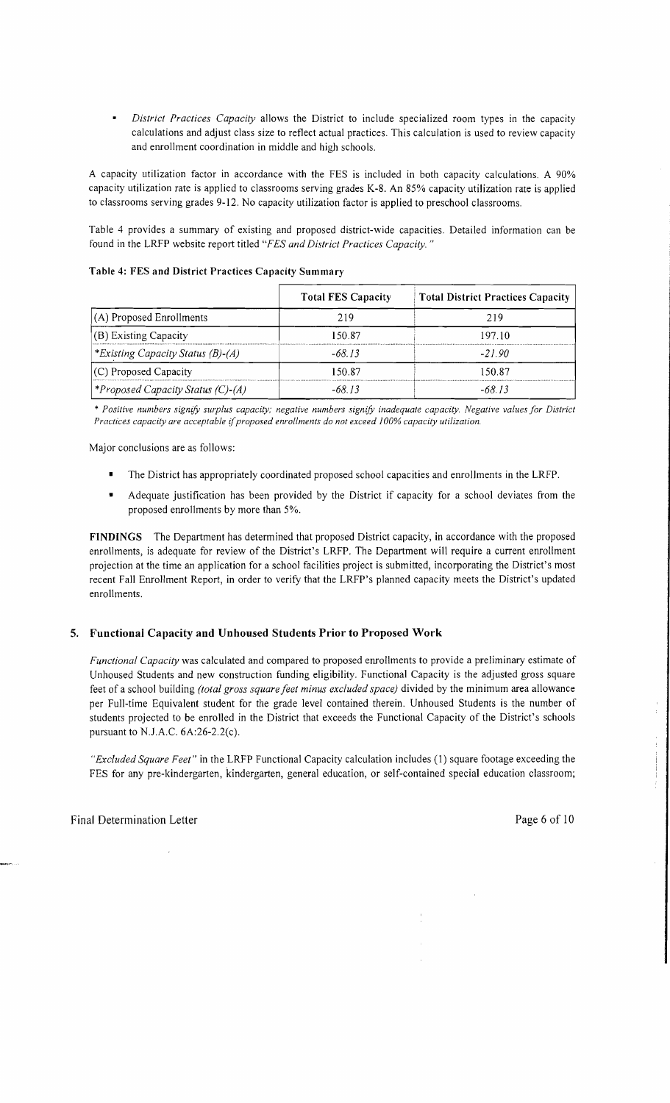*District Practices Capacity* allows the District to include specialized room types in the capacity  $\blacksquare$ calculations and adjust class size to reflect actual practices. This calculation is used to review capacity and enrollment coordination in middle and high schools.

A capacity utilization factor in accordance with the FES is included in both capacity calculations. A 90% capacity utilization rate is applied to classrooms serving grades K-8. An 85% capacity utilization rate is applied to classrooms serving grades 9-12. No capacity utilization factor is applied to preschool classrooms.

Table 4 provides a summary of existing and proposed district-wide capacities. Detailed information can be found in the LRFP website report titled *"FES and District Practices Capacity. "* 

Table 4: FES and District Practices Capacity Summary

|                                          | <b>Total FES Capacity</b> | <b>Total District Practices Capacity</b> |
|------------------------------------------|---------------------------|------------------------------------------|
| (A) Proposed Enrollments                 | 219                       | 219                                      |
| (B) Existing Capacity                    | 150.87                    | 197.10                                   |
| *Existing Capacity Status (B)-(A)        | -68.13                    | -21.90                                   |
| (C) Proposed Capacity                    | 150.87                    | 150.87                                   |
| <i>*Proposed Capacity Status (C)-(A)</i> | -68 13                    | -68 13                                   |

\* *Positive numbers signify surplus capacity; negative numbers signify inadequate capacity. Negative values for District Practices capacity are acceptable* if*proposed enrollments do not exceed 100% capacity utilization.* 

Major conclusions are as follows:

- The District has appropriately coordinated proposed school capacities and enrollments in the LRFP.
- Adequate justification has been provided by the District if capacity for a school deviates from the proposed enrollments by more than 5%.

FINDINGS The Department has determined that proposed District capacity, in accordance with the proposed enrollments, is adequate for review of the District's LRFP. The Department will require a current enrollment projection at the time an application for a school facilities project is submitted, incorporating the District's most recent Fall Enrollment Report, in order to verify that the LRFP's planned capacity meets the District's updated enrollments.

### 5. Functional Capacity and Unhoused Students Prior to Proposed Work

*Functional Capacity* was calculated and compared to proposed enrollments to provide a preliminary estimate of Unhoused Students and new construction funding eligibility. Functional Capacity is the adjusted gross square feet of a school building *(total gross square feet minus excluded space)* divided by the minimum area allowance per Full-time Equivalent student for the grade level contained therein. Unhoused Students is the number of students projected to be enrolled in the District that exceeds the Functional Capacity of the District's schools pursuant to NJ.A.C. 6A:26-2.2(c).

*"Excluded Square Feet"* in the LRFP Functional Capacity calculation includes (1) square footage exceeding the FES for any pre-kindergarten, kindergarten, general education, or self-contained special education classroom;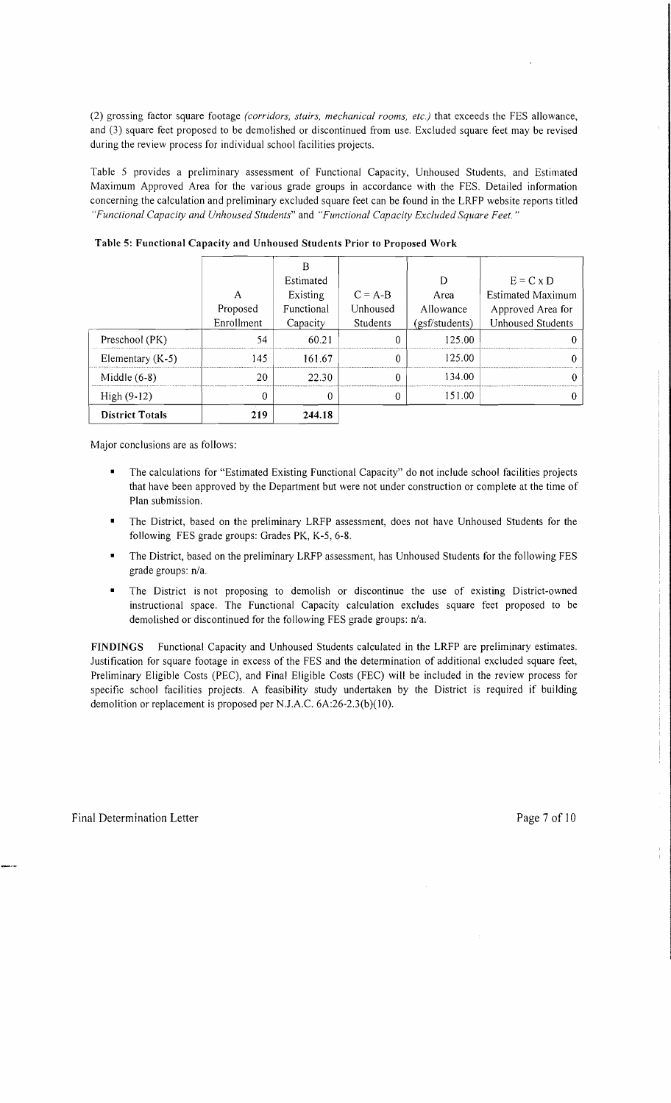(2) grossing factor square footage *(corridors, stairs, mechanical rooms, etc.)* that exceeds the FES allowance, and (3) square feet proposed to be demolished or discontinued from use. Excluded square feet may be revised during the review process for individual school facilities projects.

Table 5 provides a preliminary assessment of Functional Capacity, Unhoused Students, and Estimated Maximum Approved Area for the various grade groups in accordance with the FES. Detailed information concerning the calculation and preliminary excluded square feet can be found in the LRFP website reports titled *"Functional Capacity and Unhoused Students"* and *"Functional Capacity Excluded Square Feet. "* 

| <b>District Totals</b> | 219                         | 244.18                                          |                                   |                                          |                                                                                        |
|------------------------|-----------------------------|-------------------------------------------------|-----------------------------------|------------------------------------------|----------------------------------------------------------------------------------------|
| $High (9-12)$          | 0                           | 0                                               |                                   | 151.00                                   |                                                                                        |
| Middle $(6-8)$         | 20                          | 22.30                                           | $\Omega$                          | 134.00                                   |                                                                                        |
| Elementary $(K-5)$     | 145                         | 161.67                                          |                                   | 125.00                                   |                                                                                        |
| Preschool (PK)         | 54                          | 60.21                                           |                                   | 125.00                                   |                                                                                        |
|                        | А<br>Proposed<br>Enrollment | Estimated<br>Existing<br>Functional<br>Capacity | $C = A-B$<br>Unhoused<br>Students | D<br>Area<br>Allowance<br>(gsf/students) | $E = C \times D$<br>Estimated Maximum<br>Approved Area for<br><b>Unhoused Students</b> |
|                        |                             | в                                               |                                   |                                          |                                                                                        |

Table 5: Functional Capacity and Unhoused Students Prior to Proposed Work

Major conclusions are as follows:

- The calculations for "Estimated Existing Functional Capacity" do not include school facilities projects that have been approved by the Department but were not under construction or complete at the time of Plan submission.
- The District, based on the preliminary LRFP assessment, does not have Unhoused Students for the following FES grade groups: Grades PK, K-5, 6-8.
- The District, based on the preliminary LRFP assessment, has Unhoused Students for the following FES grade groups: n/a.
- The District is not proposing to demolish or discontinue the use of existing District-owned instructional space. The Functional Capacity calculation excludes square feet proposed to be demolished or discontinued for the following FES grade groups: n/a.

FINDINGS Functional Capacity and Unhoused Students calculated in the LRFP are preliminary estimates. Justification for square footage in excess of the FES and the determination of additional excluded square feet, Preliminary Eligible Costs (PEC), and Final Eligible Costs (FEC) will be included in the review process for specific school facilities projects. A feasibility study undertaken by the District is required if building demolition or replacement is proposed per NJ.A.C. 6A:26-2.3(b)(10).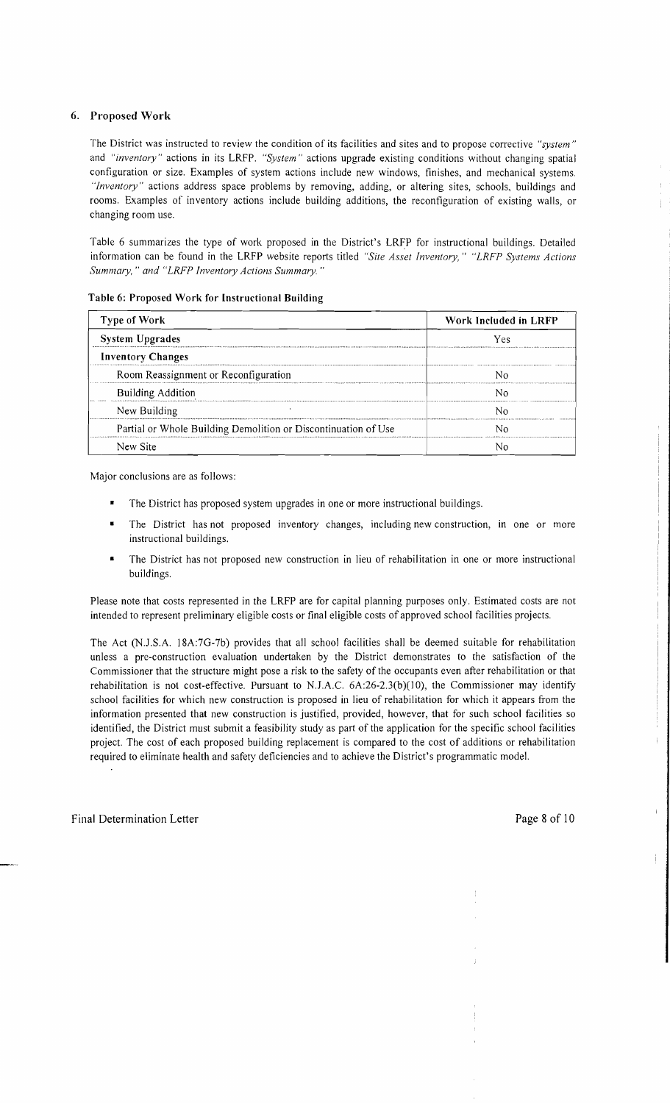## 6. Proposed Work

The District was instructed to review the condition of its facilities and sites and to propose corrective *"system"*  and *"inventory"* actions in its LRFP. *"System"* actions upgrade existing conditions without changing spatial configuration or size. Examples of system actions include new windows, finishes, and mechanical systems. *"Inventory"* actions address space problems by removing, adding, or altering sites, schools, buildings and rooms. Examples of inventory actions include building additions, the reconfiguration of existing walls, or changing room use.

Table 6 summarizes the type of work proposed in the District's LRFP for instructional buildings. Detailed information can be found in the LRFP website reports titled *"Site Asset Inventory," "LRFP Systems Actions Summary,* " *and "LRFP Inventory Actions Summary. "* 

| <b>Type of Work</b>                                            | Work Included in LRFP |  |  |
|----------------------------------------------------------------|-----------------------|--|--|
| System Upgrades                                                | Yes                   |  |  |
| <b>Inventory Changes</b>                                       |                       |  |  |
| Room Reassignment or Reconfiguration                           |                       |  |  |
| <b>Building Addition</b>                                       |                       |  |  |
| New Building                                                   |                       |  |  |
| Partial or Whole Building Demolition or Discontinuation of Use |                       |  |  |

New Site No. 2012 **No. 2013** No. 2014 12:30 No. 2014 12:30 No. 2014 12:30 No. 2014 12:30 No. 2014 12:30 No. 2014 12:30 No. 2014 12:30 No. 2014 12:30 No. 2014 12:30 No. 2014 12:30 No. 2014 12:30 No. 2014 12:30 No. 2014 12:3

Table 6: Proposed Work for Instructional Building

Major conclusions are as follows:

- The District has proposed system upgrades in one or more instructional buildings.
- The District has not proposed inventory changes, including new construction, in one or more instructional buildings.
- The District has not proposed new construction in lieu of rehabilitation in one or more instructional buildings.

Please note that costs represented in the LRFP are for capital planning purposes only. Estimated costs are not intended to represent preliminary eligible costs or final eligible costs of approved school facilities projects.

The Act (NJ.S.A. l8A:7G-7b) provides that all school facilities shall be deemed suitable for rehabilitation unless a pre-construction evaluation undertaken by the District demonstrates to the satisfaction of the Commissioner that the structure might pose a risk to the safety of the occupants even after rehabilitation or that rehabilitation is not cost-effective. Pursuant to N.J.A.C.  $6A:26-2.3(b)(10)$ , the Commissioner may identify school facilities for which new construction is proposed in lieu of rehabilitation for which it appears from the information presented that new construction is justified, provided, however, that for such school facilities so identified, the District must submit a feasibility study as part of the application for the specific school facilities project. The cost of each proposed building replacement is compared to the cost of additions or rehabilitation required to eliminate health and safety deficiencies and to achieve the District's programmatic model.

ł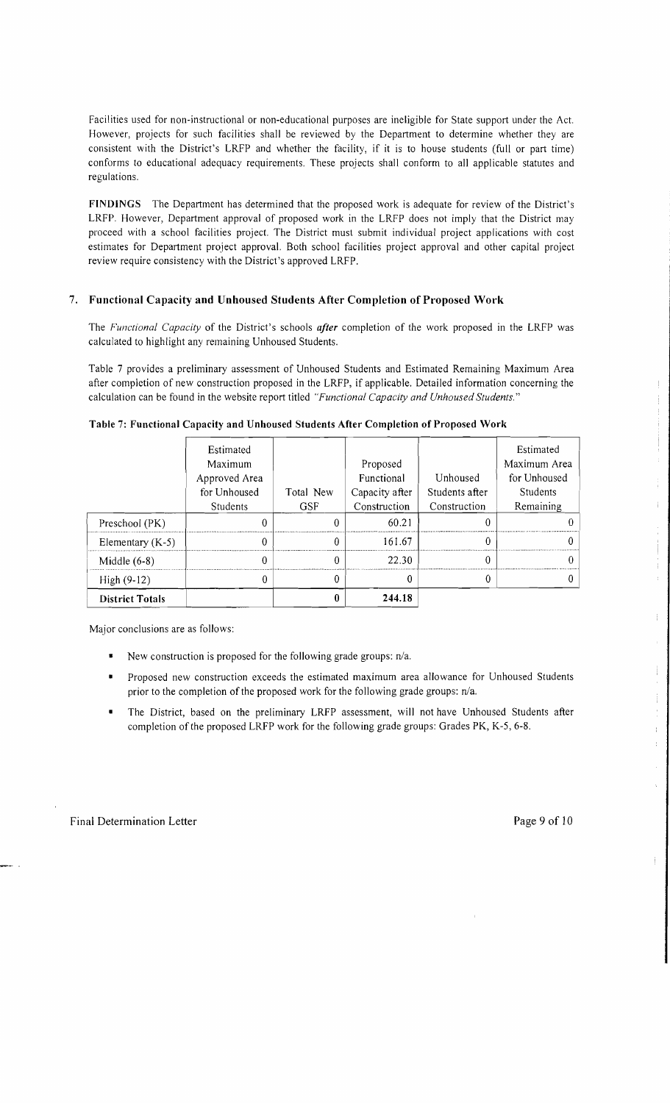Facilities used for non-instructional or non-educational purposes are ineligible for State support under the Act. However, projects for such facilities shall be reviewed by the Department to determine whether they are consistent with the District's LRFP and whether the facility, if it is to house students (full or part time) conforms to educational adequacy requirements. These projects shall conform to all applicable statutes and regulations.

FINDINGS The Department has determined that the proposed work is adequate for review of the District's LRFP. However, Department approval of proposed work in the LRFP does not imply that the District may proceed with a school facilities project. The District must submit individual project applications with cost estimates for Department project approval. Both school facilities project approval and other capital project review require consistency with the District's approved LRFP.

### 7. Functional Capacity and Unhoused Students After Completion of Proposed Work

The *Functional Capacity* of the District's schools *after* completion of the work proposed in the LRFP was calculated to highlight any remaining Unhoused Students.

Table 7 provides a preliminary assessment of Unhoused Students and Estimated Remaining Maximum Area after completion of new construction proposed in the LRFP, if applicable. Detailed information concerning the calculation can be found in the website report titled *"Functional Capacity and Unhoused Students."* 

|                        | Estimated     |            |                |                | Estimated    |
|------------------------|---------------|------------|----------------|----------------|--------------|
|                        | Maximum       |            | Proposed       |                | Maximum Area |
|                        | Approved Area |            | Functional     | Unhoused       | for Unhoused |
|                        | for Unhoused  | Total New  | Capacity after | Students after | Students     |
|                        | Students      | <b>GSF</b> | Construction   | Construction   | Remaining    |
| Preschool (PK)         |               | 0          | 60.21          |                |              |
| Elementary $(K-5)$     |               | 0          | 161.67         |                |              |
| Middle $(6-8)$         |               | 0          | 22.30          |                |              |
| High $(9-12)$          |               |            |                |                |              |
| <b>District Totals</b> |               |            | 244.18         |                |              |

#### Table 7: Functional Capacity and Unhoused Students After Completion of Proposed Work

Major conclusions are as follows:

- New construction is proposed for the following grade groups:  $n/a$ .
- Proposed new construction exceeds the estimated maximum area allowance for Unhoused Students prior to the completion of the proposed work for the following grade groups:  $n/a$ .
- The District, based on the preliminary LRFP assessment, will not have Unhoused Students after completion of the proposed LRFP work for the following grade groups: Grades PK, K-5, 6-8.

 $\bar{1}$ 

 $\mathbb{F}$  $\bar{\Gamma}$ 

Ť.

Ŧ. Ţ.